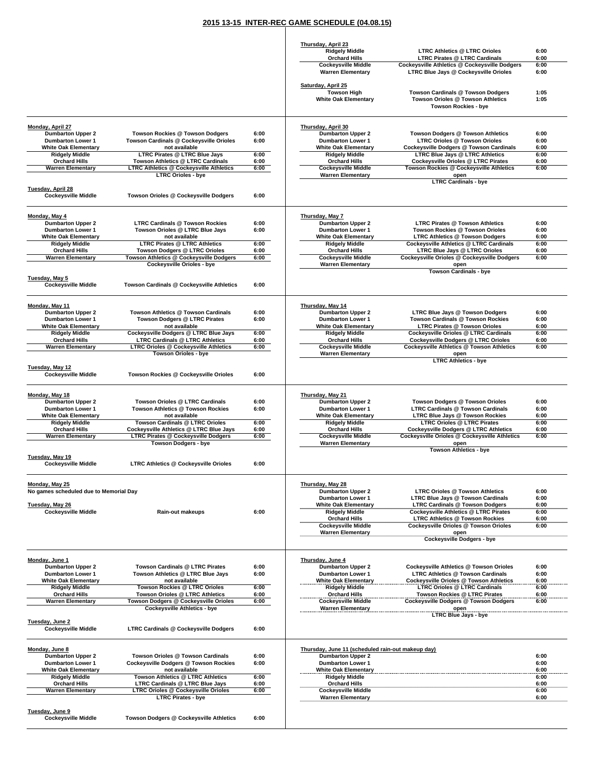## **2015 13-15 INTER-REC GAME SCHEDULE (04.08.15)**

 $\mathcal{L}$ 

|                                                         |                                                                                      |              | Thursday, April 23                                      |                                                                                              |              |
|---------------------------------------------------------|--------------------------------------------------------------------------------------|--------------|---------------------------------------------------------|----------------------------------------------------------------------------------------------|--------------|
|                                                         |                                                                                      |              | <b>Ridgely Middle</b>                                   | <b>LTRC Athletics @ LTRC Orioles</b>                                                         | 6:00         |
|                                                         |                                                                                      |              | <b>Orchard Hills</b><br><b>Cockeysville Middle</b>      | <b>LTRC Pirates @ LTRC Cardinals</b><br><b>Cockeysville Athletics @ Cockeysville Dodgers</b> | 6:00<br>6:00 |
|                                                         |                                                                                      |              | <b>Warren Elementary</b>                                | LTRC Blue Jays @ Cockeysville Orioles                                                        | 6:00         |
|                                                         |                                                                                      |              | Saturday, April 25<br><b>Towson High</b>                | Towson Cardinals @ Towson Dodgers                                                            | 1:05         |
|                                                         |                                                                                      |              | <b>White Oak Elementary</b>                             | Towson Orioles @ Towson Athletics<br><b>Towson Rockies - bye</b>                             | 1:05         |
| Monday, April 27                                        |                                                                                      |              | Thursday, April 30                                      |                                                                                              |              |
| <b>Dumbarton Upper 2</b><br><b>Dumbarton Lower 1</b>    | Towson Rockies @ Towson Dodgers<br>Towson Cardinals @ Cockeysville Orioles           | 6:00<br>6:00 | <b>Dumbarton Upper 2</b><br><b>Dumbarton Lower 1</b>    | Towson Dodgers @ Towson Athletics<br><b>LTRC Orioles @ Towson Orioles</b>                    | 6:00<br>6:00 |
| <b>White Oak Elementary</b>                             | not available                                                                        |              | <b>White Oak Elementary</b>                             | Cockeysville Dodgers @ Towson Cardinals                                                      | 6:00         |
| <b>Ridgely Middle</b>                                   | LTRC Pirates @ LTRC Blue Jays                                                        | 6:00         | <b>Ridgely Middle</b>                                   | <b>LTRC Blue Jays @ LTRC Athletics</b>                                                       | 6:00         |
| <b>Orchard Hills</b><br><b>Warren Elementary</b>        | Towson Athletics @ LTRC Cardinals<br><b>LTRC Athletics @ Cockeysville Athletics</b>  | 6:00<br>6:00 | <b>Orchard Hills</b><br><b>Cockeysville Middle</b>      | <b>Cockeysville Orioles @ LTRC Pirates</b><br>Towson Rockies @ Cockeysville Athletics        | 6:00<br>6:00 |
|                                                         | <b>LTRC Orioles - bve</b>                                                            |              | <b>Warren Elementary</b>                                | open<br><b>LTRC Cardinals - bye</b>                                                          |              |
| <b>Tuesday, April 28</b><br><b>Cockeysville Middle</b>  | Towson Orioles @ Cockeysville Dodgers                                                | 6:00         |                                                         |                                                                                              |              |
| Monday, May 4                                           |                                                                                      |              | Thursday, May 7                                         |                                                                                              |              |
| <b>Dumbarton Upper 2</b>                                | <b>LTRC Cardinals @ Towson Rockies</b>                                               | 6:00         | <b>Dumbarton Upper 2</b>                                | <b>LTRC Pirates @ Towson Athletics</b>                                                       | 6:00         |
| <b>Dumbarton Lower 1</b><br><b>White Oak Elementary</b> | Towson Orioles @ LTRC Blue Jays<br>not available                                     | 6:00         | <b>Dumbarton Lower 1</b><br><b>White Oak Elementary</b> | Towson Rockies @ Towson Orioles<br><b>LTRC Athletics @ Towson Dodgers</b>                    | 6:00<br>6:00 |
| <b>Ridgely Middle</b>                                   | <b>LTRC Pirates @ LTRC Athletics</b>                                                 | 6:00         | <b>Ridgely Middle</b>                                   | Cockeysville Athletics @ LTRC Cardinals                                                      | 6:00         |
| <b>Orchard Hills</b><br><b>Warren Elementary</b>        | Towson Dodgers @ LTRC Orioles<br>Towson Athletics @ Cockeysville Dodgers             | 6:00<br>6:00 | <b>Orchard Hills</b><br><b>Cockeysville Middle</b>      | <b>LTRC Blue Jays @ LTRC Orioles</b><br>Cockeysville Orioles @ Cockeysville Dodgers          | 6:00<br>6:00 |
|                                                         | Cockeysville Orioles - bye                                                           |              | <b>Warren Elementary</b>                                | open                                                                                         |              |
| Tuesday, May 5                                          |                                                                                      |              |                                                         | <b>Towson Cardinals - bye</b>                                                                |              |
| <b>Cockeysville Middle</b>                              | Towson Cardinals @ Cockeysville Athletics                                            | 6:00         |                                                         |                                                                                              |              |
| Monday, May 11                                          |                                                                                      |              | Thursday, May 14                                        |                                                                                              |              |
| <b>Dumbarton Upper 2</b>                                | Towson Athletics @ Towson Cardinals                                                  | 6:00         | <b>Dumbarton Upper 2</b>                                | LTRC Blue Jays @ Towson Dodgers                                                              | 6:00         |
| <b>Dumbarton Lower 1</b><br><b>White Oak Elementary</b> | Towson Dodgers @ LTRC Pirates<br>not available                                       | 6:00         | <b>Dumbarton Lower 1</b><br><b>White Oak Elementary</b> | Towson Cardinals @ Towson Rockies<br><b>LTRC Pirates @ Towson Orioles</b>                    | 6:00<br>6:00 |
| <b>Ridgely Middle</b>                                   | Cockeysville Dodgers @ LTRC Blue Jays                                                | 6:00         | <b>Ridgely Middle</b>                                   | Cockeysville Orioles @ LTRC Cardinals                                                        | 6:00         |
| <b>Orchard Hills</b>                                    | <b>LTRC Cardinals @ LTRC Athletics</b>                                               | 6:00         | <b>Orchard Hills</b>                                    | <b>Cockeysville Dodgers @ LTRC Orioles</b>                                                   | 6:00         |
| <b>Warren Elementary</b>                                | <b>LTRC Orioles @ Cockeysville Athletics</b><br><b>Towson Orioles - bye</b>          | 6:00         | <b>Cockeysville Middle</b><br><b>Warren Elementary</b>  | <b>Cockeysville Athletics @ Towson Athletics</b><br>open                                     | 6:00         |
|                                                         |                                                                                      |              |                                                         | <b>LTRC Athletics - bye</b>                                                                  |              |
| Tuesday, May 12<br><b>Cockeysville Middle</b>           | Towson Rockies @ Cockeysville Orioles                                                | 6:00         |                                                         |                                                                                              |              |
| Monday, May 18                                          |                                                                                      |              | Thursday, May 21                                        |                                                                                              |              |
| <b>Dumbarton Upper 2</b>                                | Towson Orioles @ LTRC Cardinals                                                      | 6:00         | <b>Dumbarton Upper 2</b>                                | <b>Towson Dodgers @ Towson Orioles</b>                                                       | 6:00         |
| <b>Dumbarton Lower 1</b><br><b>White Oak Elementary</b> | Towson Athletics @ Towson Rockies<br>not available                                   | 6:00         | <b>Dumbarton Lower 1</b><br><b>White Oak Elementary</b> | <b>LTRC Cardinals @ Towson Cardinals</b><br><b>LTRC Blue Jays @ Towson Rockies</b>           | 6:00<br>6:00 |
| <b>Ridgely Middle</b>                                   | Towson Cardinals @ LTRC Orioles                                                      | 6:00         | <b>Ridgely Middle</b>                                   | <b>LTRC Orioles @ LTRC Pirates</b>                                                           | 6:00         |
| <b>Orchard Hills</b>                                    | Cockeysville Athletics @ LTRC Blue Jays                                              | 6:00         | <b>Orchard Hills</b>                                    | <b>Cockeysville Dodgers @ LTRC Athletics</b>                                                 | 6:00         |
| <b>Warren Elementary</b>                                | <b>LTRC Pirates @ Cockeysville Dodgers</b><br><b>Towson Dodgers - bye</b>            | 6:00         | <b>Cockeysville Middle</b><br><b>Warren Elementary</b>  | Cockeysville Orioles @ Cockeysville Athletics<br>open                                        | 6:00         |
| Tuesday, May 19                                         |                                                                                      |              |                                                         | <b>Towson Athletics - bye</b>                                                                |              |
| <b>Cockeysville Middle</b>                              | <b>LTRC Athletics @ Cockeysville Orioles</b>                                         | 6:00         |                                                         |                                                                                              |              |
| Monday, May 25                                          |                                                                                      |              | Thursday, May 28                                        |                                                                                              |              |
| No games scheduled due to Memorial Day                  |                                                                                      |              | <b>Dumbarton Upper 2</b><br><b>Dumbarton Lower 1</b>    | <b>LTRC Orioles @ Towson Athletics</b><br><b>LTRC Blue Javs @ Towson Cardinals</b>           | 6:00<br>6:00 |
| Tuesday, May 26                                         |                                                                                      |              | <b>White Oak Elementary</b>                             | <b>LTRC Cardinals @ Towson Dodgers</b>                                                       | 6:00         |
| <b>Cockeysville Middle</b>                              | Rain-out makeups                                                                     | 6:00         | <b>Ridgely Middle</b>                                   | <b>Cockeysville Athletics @ LTRC Pirates</b>                                                 | 6:00         |
|                                                         |                                                                                      |              | <b>Orchard Hills</b><br><b>Cockeysville Middle</b>      | <b>LTRC Athletics @ Towson Rockies</b><br><b>Cockevsville Orioles @ Towson Orioles</b>       | 6:00<br>6:00 |
|                                                         |                                                                                      |              | <b>Warren Elementary</b>                                | open                                                                                         |              |
|                                                         |                                                                                      |              |                                                         | <b>Cockeysville Dodgers - bye</b>                                                            |              |
| Monday, June 1                                          |                                                                                      |              | Thursday, June 4                                        |                                                                                              |              |
| <b>Dumbarton Upper 2</b><br><b>Dumbarton Lower 1</b>    | Towson Cardinals @ LTRC Pirates<br>Towson Athletics @ LTRC Blue Jays                 | 6:00<br>6:00 | <b>Dumbarton Upper 2</b><br><b>Dumbarton Lower 1</b>    | <b>Cockeysville Athletics @ Towson Orioles</b><br><b>LTRC Athletics @ Towson Cardinals</b>   | 6:00<br>6:00 |
| <b>White Oak Elementary</b>                             | not available                                                                        |              | <b>White Oak Elementary</b>                             | <b>Cockeysville Orioles @ Towson Athletics</b>                                               | 6:00         |
| <b>Ridgely Middle</b>                                   | Towson Rockies @ LTRC Orioles                                                        | 6:00         | <b>Ridgely Middle</b>                                   | <b>LTRC Orioles @ LTRC Cardinals</b>                                                         | 6:00         |
| <b>Orchard Hills</b><br><b>Warren Elementary</b>        | Towson Orioles @ LTRC Athletics<br>Towson Dodgers @ Cockeysville Orioles             | 6:00<br>6:00 | <b>Orchard Hills</b><br><b>Cockeysville Middle</b>      | Towson Rockies @ LTRC Pirates<br><b>Cockeysville Dodgers @ Towson Dodgers</b>                | 6:00<br>6:00 |
|                                                         | <b>Cockeysville Athletics - bye</b>                                                  |              | <b>Warren Elementary</b>                                | open<br><b>LTRC Blue Jays - bye</b>                                                          |              |
| Tuesday, June 2<br><b>Cockeysville Middle</b>           | <b>LTRC Cardinals @ Cockeysville Dodgers</b>                                         | 6:00         |                                                         |                                                                                              |              |
|                                                         |                                                                                      |              |                                                         |                                                                                              |              |
| Monday, June 8                                          |                                                                                      |              | Thursday, June 11 (scheduled rain-out makeup day)       |                                                                                              |              |
| <b>Dumbarton Upper 2</b><br><b>Dumbarton Lower 1</b>    | Towson Orioles @ Towson Cardinals<br><b>Cockeysville Dodgers @ Towson Rockies</b>    | 6:00<br>6:00 | <b>Dumbarton Upper 2</b><br><b>Dumbarton Lower 1</b>    |                                                                                              | 6:00<br>6:00 |
| <b>White Oak Elementary</b>                             | not available                                                                        |              | <b>White Oak Elementary</b>                             |                                                                                              | 6:00         |
| <b>Ridgely Middle</b>                                   | Towson Athletics @ LTRC Athletics                                                    | 6:00         | <b>Ridgely Middle</b>                                   |                                                                                              | 6:00         |
| <b>Orchard Hills</b><br><b>Warren Elementary</b>        | <b>LTRC Cardinals @ LTRC Blue Jays</b><br><b>LTRC Orioles @ Cockeysville Orioles</b> | 6:00<br>6:00 | <b>Orchard Hills</b><br><b>Cockeysville Middle</b>      |                                                                                              | 6:00<br>6:00 |
|                                                         | <b>LTRC Pirates - bye</b>                                                            |              | <b>Warren Elementary</b>                                |                                                                                              | 6:00         |
| Tuesday, June 9                                         |                                                                                      |              |                                                         |                                                                                              |              |
| <b>Cockeysville Middle</b>                              | Towson Dodgers @ Cockeysville Athletics                                              | 6:00         |                                                         |                                                                                              |              |